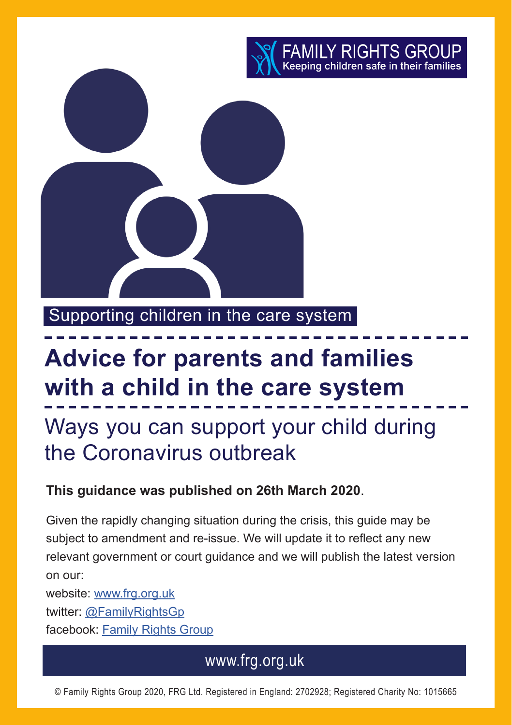

Supporting children in the care system

# **Advice for parents and families with a child in the care system**

Ways you can support your child during the Coronavirus outbreak

#### **This guidance was published on 26th March 2020**.

Given the rapidly changing situation during the crisis, this guide may be subject to amendment and re-issue. We will update it to reflect any new relevant government or court guidance and we will publish the latest version on our:

website: [www.frg.org.uk](http://www.frg.org.uk) twitter: [@FamilyRightsGp](https://twitter.com/FamilyRightsGp) facebook: [Family Rights Group](https://www.facebook.com/pages/category/Nonprofit-Organization/Family-Rights-Group-462770955031/)

### www.frg.org.uk

© Family Rights Group 2020, FRG Ltd. Registered in England: 2702928; Registered Charity No: 1015665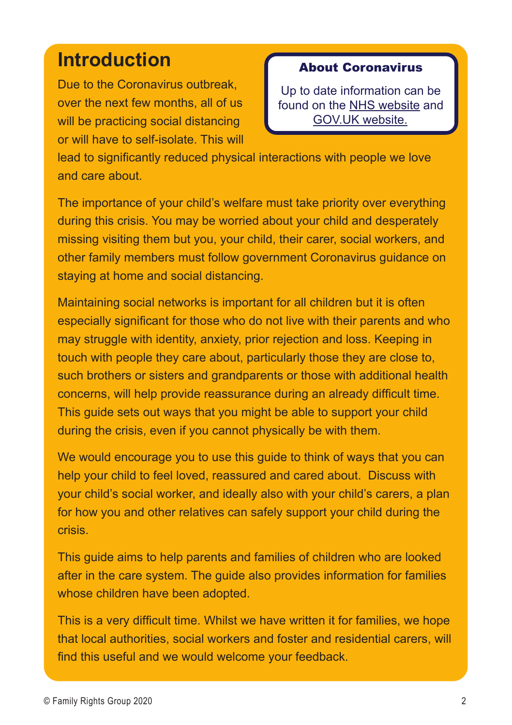## **Introduction**

Due to the Coronavirus outbreak, over the next few months, all of us will be practicing social distancing or will have to self-isolate. This will

#### About Coronavirus

Up to date information can be found on the [NHS website](https://www.nhs.uk/conditions/coronavirus-covid-19/ ) and [GOV.UK website.](https://www.gov.uk/government/topical-events/coronavirus-covid-19-uk-government-response)

lead to significantly reduced physical interactions with people we love and care about.

The importance of your child's welfare must take priority over everything during this crisis. You may be worried about your child and desperately missing visiting them but you, your child, their carer, social workers, and other family members must follow government Coronavirus guidance on staying at home and social distancing.

Maintaining social networks is important for all children but it is often especially significant for those who do not live with their parents and who may struggle with identity, anxiety, prior rejection and loss. Keeping in touch with people they care about, particularly those they are close to, such brothers or sisters and grandparents or those with additional health concerns, will help provide reassurance during an already difficult time. This guide sets out ways that you might be able to support your child during the crisis, even if you cannot physically be with them.

We would encourage you to use this guide to think of ways that you can help your child to feel loved, reassured and cared about. Discuss with your child's social worker, and ideally also with your child's carers, a plan for how you and other relatives can safely support your child during the crisis.

This guide aims to help parents and families of children who are looked after in the care system. The guide also provides information for families whose children have been adopted.

This is a very difficult time. Whilst we have written it for families, we hope that local authorities, social workers and foster and residential carers, will find this useful and we would welcome your feedback.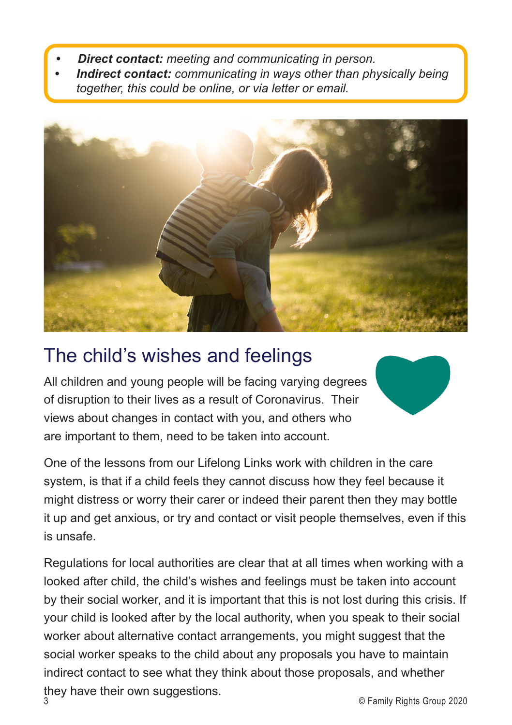- *• Direct contact: meeting and communicating in person.*
- *• Indirect contact: communicating in ways other than physically being together, this could be online, or via letter or email.*



# The child's wishes and feelings

All children and young people will be facing varying degrees of disruption to their lives as a result of Coronavirus. Their views about changes in contact with you, and others who are important to them, need to be taken into account.

One of the lessons from our Lifelong Links work with children in the care system, is that if a child feels they cannot discuss how they feel because it might distress or worry their carer or indeed their parent then they may bottle it up and get anxious, or try and contact or visit people themselves, even if this is unsafe.

Regulations for local authorities are clear that at all times when working with a looked after child, the child's wishes and feelings must be taken into account by their social worker, and it is important that this is not lost during this crisis. If your child is looked after by the local authority, when you speak to their social worker about alternative contact arrangements, you might suggest that the social worker speaks to the child about any proposals you have to maintain indirect contact to see what they think about those proposals, and whether they have their own suggestions.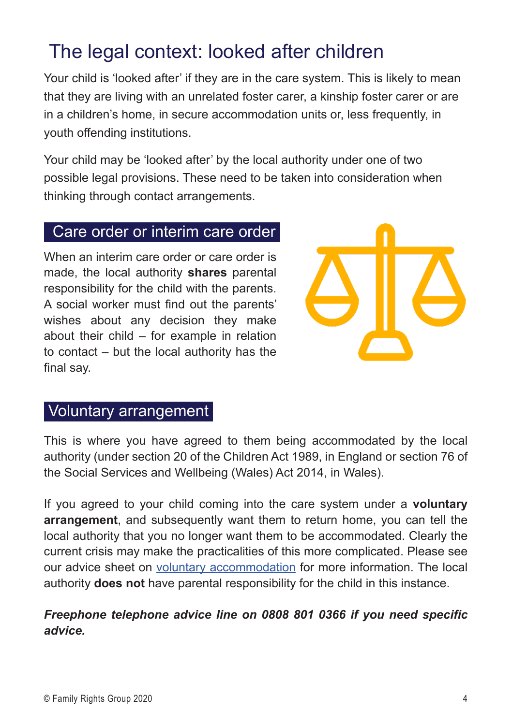# The legal context: looked after children

Your child is 'looked after' if they are in the care system. This is likely to mean that they are living with an unrelated foster carer, a kinship foster carer or are in a children's home, in secure accommodation units or, less frequently, in youth offending institutions.

Your child may be 'looked after' by the local authority under one of two possible legal provisions. These need to be taken into consideration when thinking through contact arrangements.

#### Care order or interim care order

When an interim care order or care order is made, the local authority **shares** parental responsibility for the child with the parents. A social worker must find out the parents' wishes about any decision they make about their child  $-$  for example in relation to contact – but the local authority has the final say.

#### Voluntary arrangement

This is where you have agreed to them being accommodated by the local authority (under section 20 of the Children Act 1989, in England or section 76 of the Social Services and Wellbeing (Wales) Act 2014, in Wales).

If you agreed to your child coming into the care system under a **voluntary arrangement**, and subsequently want them to return home, you can tell the local authority that you no longer want them to be accommodated. Clearly the current crisis may make the practicalities of this more complicated. Please see our advice sheet on [voluntary accommodation](https://www.frg.org.uk/images/Advice_Sheets/13-children-looked-after-by-childrens-services-under-a-voluntary-arrangement.pdf.) for more information. The local authority **does not** have parental responsibility for the child in this instance.

#### *Freephone telephone advice line on 0808 801 0366 if you need specific advice.*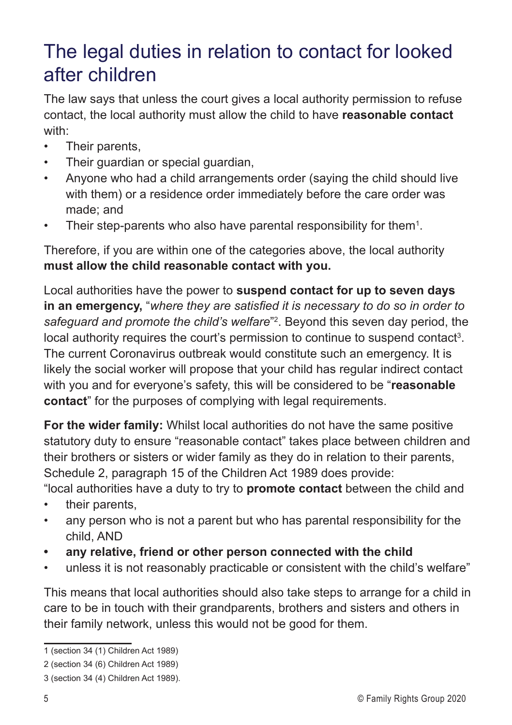# The legal duties in relation to contact for looked after children

The law says that unless the court gives a local authority permission to refuse contact, the local authority must allow the child to have **reasonable contact**  with:

- Their parents,
- Their quardian or special quardian,
- Anyone who had a child arrangements order (saying the child should live with them) or a residence order immediately before the care order was made; and
- Their step-parents who also have parental responsibility for them<sup>1</sup>.

Therefore, if you are within one of the categories above, the local authority **must allow the child reasonable contact with you.** 

Local authorities have the power to **suspend contact for up to seven days in an emergency,** "*where they are satisfied it is necessary to do so in order to safeguard and promote the child's welfare*"2 . Beyond this seven day period, the local authority requires the court's permission to continue to suspend contact<sup>3</sup>. The current Coronavirus outbreak would constitute such an emergency. It is likely the social worker will propose that your child has regular indirect contact with you and for everyone's safety, this will be considered to be "**reasonable contact**" for the purposes of complying with legal requirements.

**For the wider family:** Whilst local authorities do not have the same positive statutory duty to ensure "reasonable contact" takes place between children and their brothers or sisters or wider family as they do in relation to their parents, Schedule 2, paragraph 15 of the Children Act 1989 does provide:

"local authorities have a duty to try to **promote contact** between the child and

- their parents,
- any person who is not a parent but who has parental responsibility for the child, AND
- **• any relative, friend or other person connected with the child**
- unless it is not reasonably practicable or consistent with the child's welfare"

This means that local authorities should also take steps to arrange for a child in care to be in touch with their grandparents, brothers and sisters and others in their family network, unless this would not be good for them.

<sup>1 (</sup>section 34 (1) Children Act 1989)

<sup>2 (</sup>section 34 (6) Children Act 1989)

<sup>3 (</sup>section 34 (4) Children Act 1989).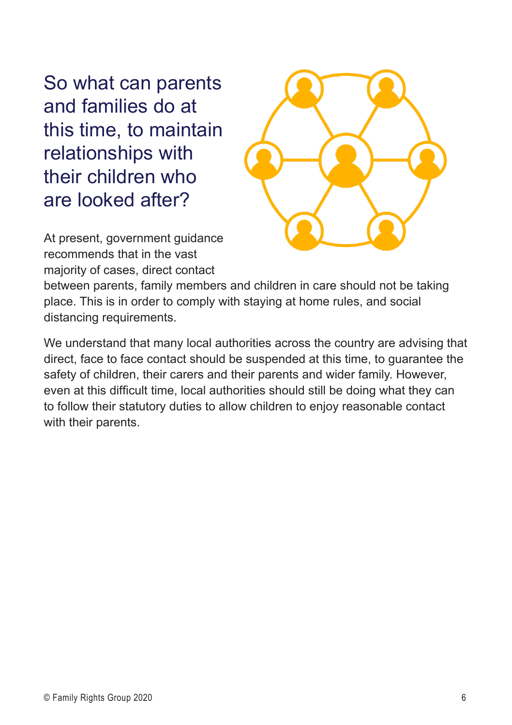So what can parents and families do at this time, to maintain relationships with their children who are looked after?



At present, government guidance recommends that in the vast majority of cases, direct contact

between parents, family members and children in care should not be taking place. This is in order to comply with staying at home rules, and social distancing requirements.

We understand that many local authorities across the country are advising that direct, face to face contact should be suspended at this time, to guarantee the safety of children, their carers and their parents and wider family. However, even at this difficult time, local authorities should still be doing what they can to follow their statutory duties to allow children to enjoy reasonable contact with their parents.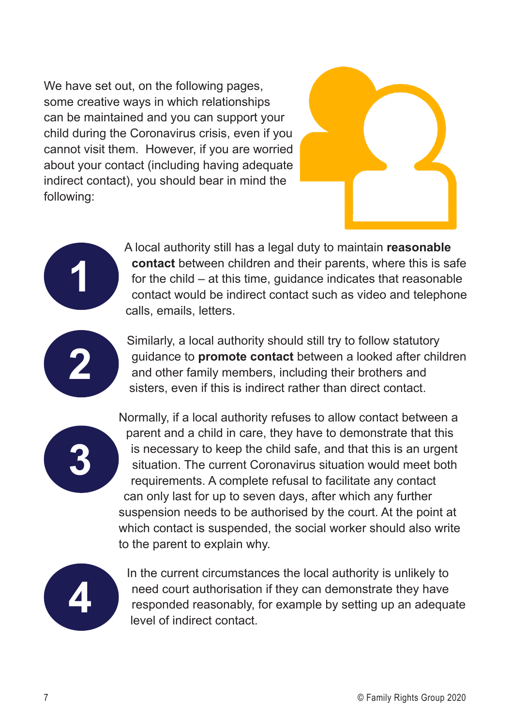We have set out, on the following pages. some creative ways in which relationships can be maintained and you can support your child during the Coronavirus crisis, even if you cannot visit them. However, if you are worried about your contact (including having adequate indirect contact), you should bear in mind the following:





Similarly, a local authority should still try to follow statutory guidance to **promote contact** between a looked after children and other family members, including their brothers and sisters, even if this is indirect rather than direct contact.



**1**

**2**

Normally, if a local authority refuses to allow contact between a parent and a child in care, they have to demonstrate that this is necessary to keep the child safe, and that this is an urgent situation. The current Coronavirus situation would meet both requirements. A complete refusal to facilitate any contact can only last for up to seven days, after which any further suspension needs to be authorised by the court. At the point at which contact is suspended, the social worker should also write to the parent to explain why.



In the current circumstances the local authority is unlikely to need court authorisation if they can demonstrate they have responded reasonably, for example by setting up an adequate level of indirect contact.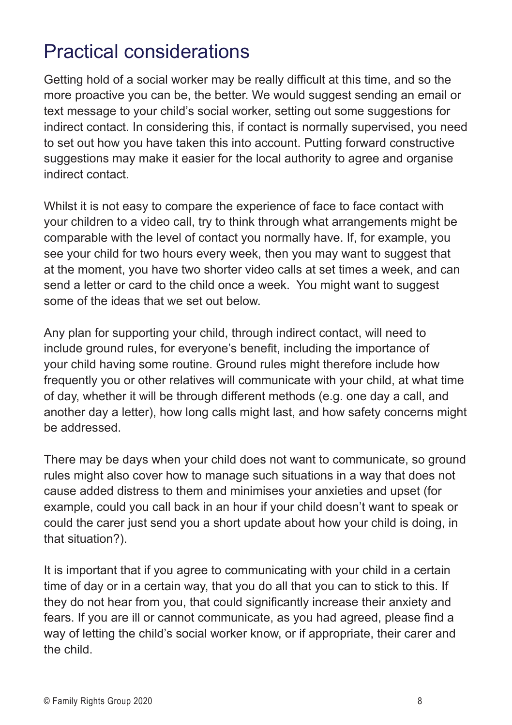# Practical considerations

Getting hold of a social worker may be really difficult at this time, and so the more proactive you can be, the better. We would suggest sending an email or text message to your child's social worker, setting out some suggestions for indirect contact. In considering this, if contact is normally supervised, you need to set out how you have taken this into account. Putting forward constructive suggestions may make it easier for the local authority to agree and organise indirect contact.

Whilst it is not easy to compare the experience of face to face contact with your children to a video call, try to think through what arrangements might be comparable with the level of contact you normally have. If, for example, you see your child for two hours every week, then you may want to suggest that at the moment, you have two shorter video calls at set times a week, and can send a letter or card to the child once a week. You might want to suggest some of the ideas that we set out below.

Any plan for supporting your child, through indirect contact, will need to include ground rules, for everyone's benefit, including the importance of your child having some routine. Ground rules might therefore include how frequently you or other relatives will communicate with your child, at what time of day, whether it will be through different methods (e.g. one day a call, and another day a letter), how long calls might last, and how safety concerns might be addressed.

There may be days when your child does not want to communicate, so ground rules might also cover how to manage such situations in a way that does not cause added distress to them and minimises your anxieties and upset (for example, could you call back in an hour if your child doesn't want to speak or could the carer just send you a short update about how your child is doing, in that situation?).

It is important that if you agree to communicating with your child in a certain time of day or in a certain way, that you do all that you can to stick to this. If they do not hear from you, that could significantly increase their anxiety and fears. If you are ill or cannot communicate, as you had agreed, please find a way of letting the child's social worker know, or if appropriate, their carer and the child.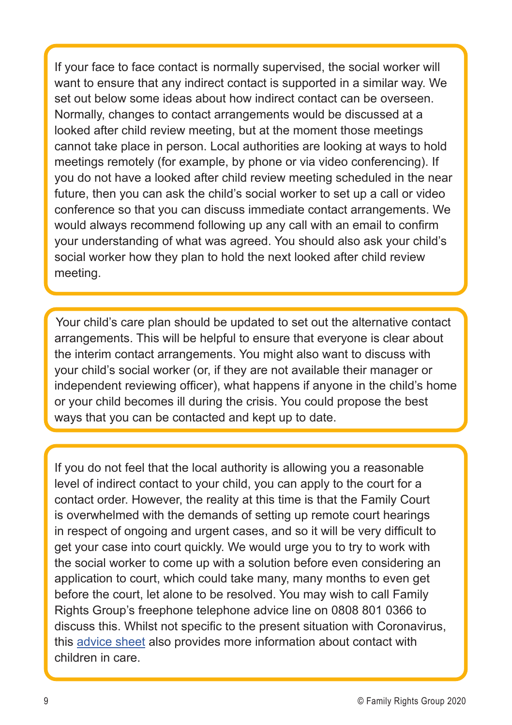If your face to face contact is normally supervised, the social worker will want to ensure that any indirect contact is supported in a similar way. We set out below some ideas about how indirect contact can be overseen. Normally, changes to contact arrangements would be discussed at a looked after child review meeting, but at the moment those meetings cannot take place in person. Local authorities are looking at ways to hold meetings remotely (for example, by phone or via video conferencing). If you do not have a looked after child review meeting scheduled in the near future, then you can ask the child's social worker to set up a call or video conference so that you can discuss immediate contact arrangements. We would always recommend following up any call with an email to confirm your understanding of what was agreed. You should also ask your child's social worker how they plan to hold the next looked after child review meeting.

Your child's care plan should be updated to set out the alternative contact arrangements. This will be helpful to ensure that everyone is clear about the interim contact arrangements. You might also want to discuss with your child's social worker (or, if they are not available their manager or independent reviewing officer), what happens if anyone in the child's home or your child becomes ill during the crisis. You could propose the best ways that you can be contacted and kept up to date.

If you do not feel that the local authority is allowing you a reasonable level of indirect contact to your child, you can apply to the court for a contact order. However, the reality at this time is that the Family Court is overwhelmed with the demands of setting up remote court hearings in respect of ongoing and urgent cases, and so it will be very difficult to get your case into court quickly. We would urge you to try to work with the social worker to come up with a solution before even considering an application to court, which could take many, many months to even get before the court, let alone to be resolved. You may wish to call Family Rights Group's freephone telephone advice line on 0808 801 0366 to discuss this. Whilst not specific to the present situation with Coronavirus, this [advice sheet](https://www.frg.org.uk/images/Advice_Sheets/14-contact-for-children-in-care.pdf) also provides more information about contact with children in care.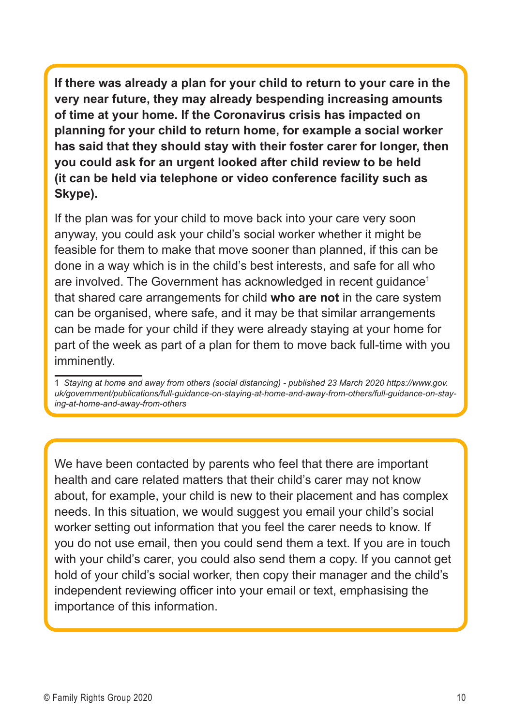**If there was already a plan for your child to return to your care in the very near future, they may already bespending increasing amounts of time at your home. If the Coronavirus crisis has impacted on planning for your child to return home, for example a social worker has said that they should stay with their foster carer for longer, then you could ask for an urgent looked after child review to be held (it can be held via telephone or video conference facility such as Skype).** 

If the plan was for your child to move back into your care very soon anyway, you could ask your child's social worker whether it might be feasible for them to make that move sooner than planned, if this can be done in a way which is in the child's best interests, and safe for all who are involved. The Government has acknowledged in recent quidance<sup>1</sup> that shared care arrangements for child **who are not** in the care system can be organised, where safe, and it may be that similar arrangements can be made for your child if they were already staying at your home for part of the week as part of a plan for them to move back full-time with you imminently.

We have been contacted by parents who feel that there are important health and care related matters that their child's carer may not know about, for example, your child is new to their placement and has complex needs. In this situation, we would suggest you email your child's social worker setting out information that you feel the carer needs to know. If you do not use email, then you could send them a text. If you are in touch with your child's carer, you could also send them a copy. If you cannot get hold of your child's social worker, then copy their manager and the child's independent reviewing officer into your email or text, emphasising the importance of this information.

<sup>1</sup> *Staying at home and away from others (social distancing) - published 23 March 2020 https://www.gov. uk/government/publications/full-guidance-on-staying-at-home-and-away-from-others/full-guidance-on-staying-at-home-and-away-from-others*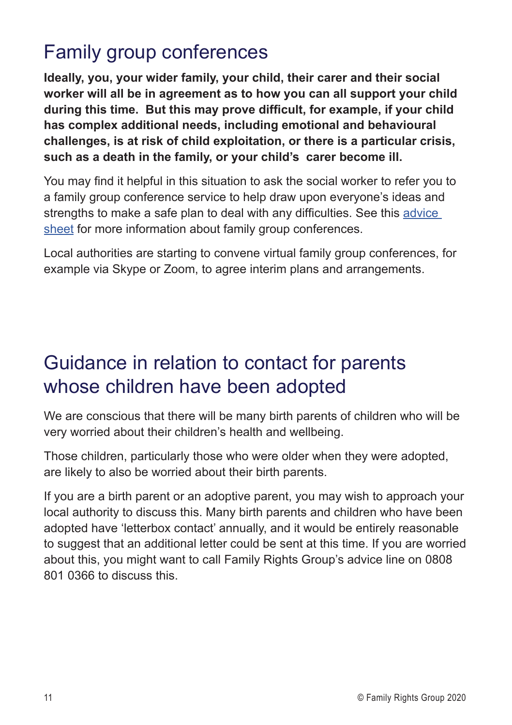# Family group conferences

**Ideally, you, your wider family, your child, their carer and their social worker will all be in agreement as to how you can all support your child during this time. But this may prove difficult, for example, if your child has complex additional needs, including emotional and behavioural challenges, is at risk of child exploitation, or there is a particular crisis, such as a death in the family, or your child's carer become ill.** 

You may find it helpful in this situation to ask the social worker to refer you to a family group conference service to help draw upon everyone's ideas and strengths to make a safe plan to deal with any difficulties. See this [advice](https://www.frg.org.uk/images/Advice_Sheets/3-what-is-a-family-group-conference.pdf )  [sheet](https://www.frg.org.uk/images/Advice_Sheets/3-what-is-a-family-group-conference.pdf ) for more information about family group conferences.

Local authorities are starting to convene virtual family group conferences, for example via Skype or Zoom, to agree interim plans and arrangements.

# Guidance in relation to contact for parents whose children have been adopted

We are conscious that there will be many birth parents of children who will be very worried about their children's health and wellbeing.

Those children, particularly those who were older when they were adopted, are likely to also be worried about their birth parents.

If you are a birth parent or an adoptive parent, you may wish to approach your local authority to discuss this. Many birth parents and children who have been adopted have 'letterbox contact' annually, and it would be entirely reasonable to suggest that an additional letter could be sent at this time. If you are worried about this, you might want to call Family Rights Group's advice line on 0808 801 0366 to discuss this.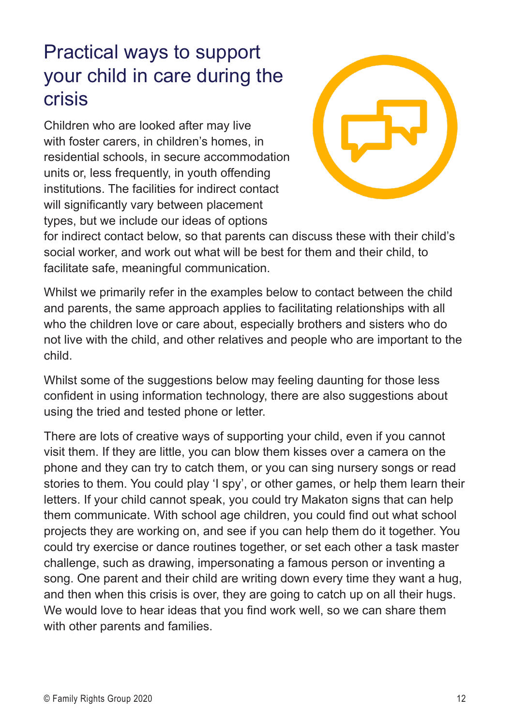# Practical ways to support your child in care during the crisis

Children who are looked after may live with foster carers, in children's homes, in residential schools, in secure accommodation units or, less frequently, in youth offending institutions. The facilities for indirect contact will significantly vary between placement types, but we include our ideas of options



for indirect contact below, so that parents can discuss these with their child's social worker, and work out what will be best for them and their child, to facilitate safe, meaningful communication.

Whilst we primarily refer in the examples below to contact between the child and parents, the same approach applies to facilitating relationships with all who the children love or care about, especially brothers and sisters who do not live with the child, and other relatives and people who are important to the child.

Whilst some of the suggestions below may feeling daunting for those less confident in using information technology, there are also suggestions about using the tried and tested phone or letter.

There are lots of creative ways of supporting your child, even if you cannot visit them. If they are little, you can blow them kisses over a camera on the phone and they can try to catch them, or you can sing nursery songs or read stories to them. You could play 'I spy', or other games, or help them learn their letters. If your child cannot speak, you could try Makaton signs that can help them communicate. With school age children, you could find out what school projects they are working on, and see if you can help them do it together. You could try exercise or dance routines together, or set each other a task master challenge, such as drawing, impersonating a famous person or inventing a song. One parent and their child are writing down every time they want a hug, and then when this crisis is over, they are going to catch up on all their hugs. We would love to hear ideas that you find work well, so we can share them with other parents and families.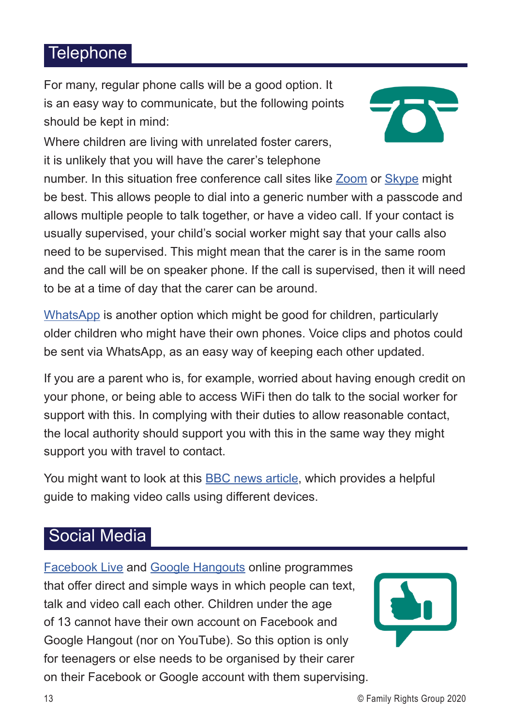### Telephone

For many, regular phone calls will be a good option. It is an easy way to communicate, but the following points should be kept in mind:



Where children are living with unrelated foster carers, it is unlikely that you will have the carer's telephone

number. In this situation free conference call sites like [Zoom](https://zoom.us/) or [Skype](https://www.skype.com/en/) might be best. This allows people to dial into a generic number with a passcode and allows multiple people to talk together, or have a video call. If your contact is usually supervised, your child's social worker might say that your calls also need to be supervised. This might mean that the carer is in the same room and the call will be on speaker phone. If the call is supervised, then it will need to be at a time of day that the carer can be around.

[WhatsApp](https://www.whatsapp.com/) is another option which might be good for children, particularly older children who might have their own phones. Voice clips and photos could be sent via WhatsApp, as an easy way of keeping each other updated.

If you are a parent who is, for example, worried about having enough credit on your phone, or being able to access WiFi then do talk to the social worker for support with this. In complying with their duties to allow reasonable contact, the local authority should support you with this in the same way they might support you with travel to contact.

You might want to look at this **BBC** news article, which provides a helpful guide to making video calls using different devices.

### Social Media

[Facebook Live](https://www.facebook.com/facebookmedia/solutions/facebook-live) and [Google Hangouts](https://hangouts.google.com/) online programmes that offer direct and simple ways in which people can text, talk and video call each other. Children under the age of 13 cannot have their own account on Facebook and Google Hangout (nor on YouTube). So this option is only for teenagers or else needs to be organised by their carer on their Facebook or Google account with them supervising.

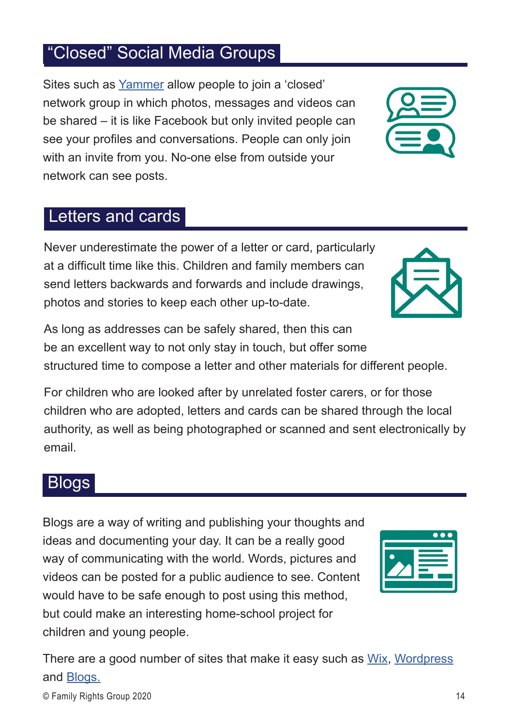#### and [Blogs.](https://www.blogs.com/) © Family Rights Group 2020 14

### "Closed" Social Media Groups

Sites such as [Yammer](https://products.office.com/en-gb/yammer/yammer-overview) allow people to join a 'closed' network group in which photos, messages and videos can be shared – it is like Facebook but only invited people can see your profiles and conversations. People can only join with an invite from you. No-one else from outside your network can see posts.

#### Letters and cards

Never underestimate the power of a letter or card, particularly at a difficult time like this. Children and family members can send letters backwards and forwards and include drawings, photos and stories to keep each other up-to-date.

As long as addresses can be safely shared, then this can be an excellent way to not only stay in touch, but offer some structured time to compose a letter and other materials for different people.

For children who are looked after by unrelated foster carers, or for those children who are adopted, letters and cards can be shared through the local authority, as well as being photographed or scanned and sent electronically by email.

There are a good number of sites that make it easy such as [Wix](https://www.wix.com/html5uk/hiker-blog?utm_source=google&utm_medium=cpc&utm_campaign=8692890887%255e86804215825&experiment_id=blog%255ee%255e407704804214%255e&gclid=CjwKCAjwsMzzBRACEiwAx4lLG7aEsdyQ_5gi0kPFX2AwIdXd5Ej5pcLoXliF0ave6IItQrMhWahbbBoCZ68QAvD_BwE), [Wordpress](https://wordpress.com/create-blog/?utm_source=google&utm_campaign=google_wpcom_search_non_desktop_uk_en&utm_medium=paid_search&keyword=blog&creative=289908981576&campaignid=647897973&adgroupid=57280028086&matchtype=e&device=c&network=g&targetid=kwd-21745101&gclid=CjwKCAjwsMzzBRACEiwAx4lLG5EPilY78oHLfbq5OATLbKVkBCjjSaj0zNWmvennJZ7QitfIbeWu_hoCOzsQAvD_BwE&gclsrc=aw.ds)

### **Blogs**

Blogs are a way of writing and publishing your thoughts and ideas and documenting your day. It can be a really good way of communicating with the world. Words, pictures and videos can be posted for a public audience to see. Content would have to be safe enough to post using this method, but could make an interesting home-school project for children and young people.



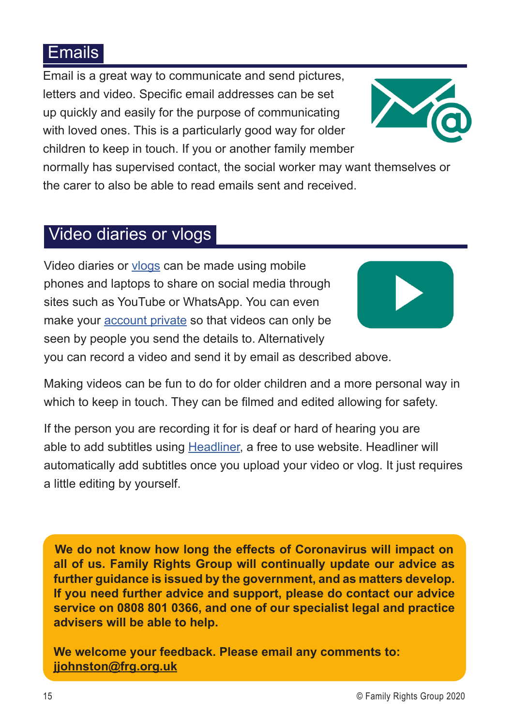### Emails

Email is a great way to communicate and send pictures, letters and video. Specific email addresses can be set up quickly and easily for the purpose of communicating with loved ones. This is a particularly good way for older children to keep in touch. If you or another family member



normally has supervised contact, the social worker may want themselves or the carer to also be able to read emails sent and received.

### Video diaries or vlogs

Video diaries or [vlogs](https://en.wikipedia.org/wiki/Vlog) can be made using mobile phones and laptops to share on social media through sites such as YouTube or WhatsApp. You can even make your [account private](https://www.quora.com/What-are-the-steps-to-make-a-YouTube-channel-private) so that videos can only be seen by people you send the details to. Alternatively



you can record a video and send it by email as described above.

Making videos can be fun to do for older children and a more personal way in which to keep in touch. They can be filmed and edited allowing for safety.

If the person you are recording it for is deaf or hard of hearing you are able to add subtitles using [Headliner,](https://www.headliner.app/) a free to use website. Headliner will automatically add subtitles once you upload your video or vlog. It just requires a little editing by yourself.

**We do not know how long the effects of Coronavirus will impact on all of us. Family Rights Group will continually update our advice as further guidance is issued by the government, and as matters develop. If you need further advice and support, please do contact our advice service on 0808 801 0366, and one of our specialist legal and practice advisers will be able to help.** 

**We welcome your feedback. Please email any comments to: [jjohnston@frg.org.uk](mailto:jjohnston%40frg.org.uk%20?subject=)**